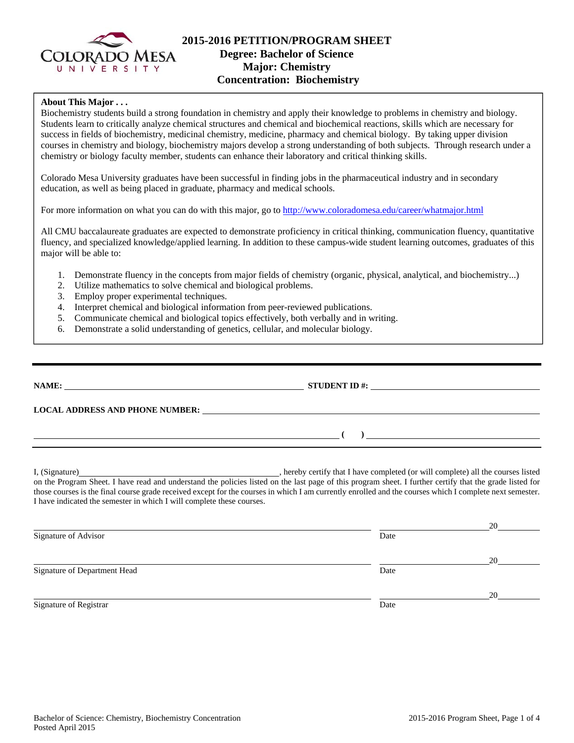

## **2015-2016 PETITION/PROGRAM SHEET Degree: Bachelor of Science Major: Chemistry Concentration: Biochemistry**

## **About This Major . . .**

Biochemistry students build a strong foundation in chemistry and apply their knowledge to problems in chemistry and biology. Students learn to critically analyze chemical structures and chemical and biochemical reactions, skills which are necessary for success in fields of biochemistry, medicinal chemistry, medicine, pharmacy and chemical biology. By taking upper division courses in chemistry and biology, biochemistry majors develop a strong understanding of both subjects. Through research under a chemistry or biology faculty member, students can enhance their laboratory and critical thinking skills.

Colorado Mesa University graduates have been successful in finding jobs in the pharmaceutical industry and in secondary education, as well as being placed in graduate, pharmacy and medical schools.

For more information on what you can do with this major, go to http://www.coloradomesa.edu/career/whatmajor.html

All CMU baccalaureate graduates are expected to demonstrate proficiency in critical thinking, communication fluency, quantitative fluency, and specialized knowledge/applied learning. In addition to these campus-wide student learning outcomes, graduates of this major will be able to:

- 1. Demonstrate fluency in the concepts from major fields of chemistry (organic, physical, analytical, and biochemistry...)
- 2. Utilize mathematics to solve chemical and biological problems.
- 3. Employ proper experimental techniques.
- 4. Interpret chemical and biological information from peer-reviewed publications.
- 5. Communicate chemical and biological topics effectively, both verbally and in writing.
- 6. Demonstrate a solid understanding of genetics, cellular, and molecular biology.

|                                                                       | STUDENT ID $\#$ :                                                                                                                                                                                                                                                                                                    |
|-----------------------------------------------------------------------|----------------------------------------------------------------------------------------------------------------------------------------------------------------------------------------------------------------------------------------------------------------------------------------------------------------------|
|                                                                       | LOCAL ADDRESS AND PHONE NUMBER: The contract of the contract of the contract of the contract of the contract of the contract of the contract of the contract of the contract of the contract of the contract of the contract o                                                                                       |
|                                                                       | $\overline{a}$                                                                                                                                                                                                                                                                                                       |
| I have indicated the semester in which I will complete these courses. | on the Program Sheet. I have read and understand the policies listed on the last page of this program sheet. I further certify that the grade listed for<br>those courses is the final course grade received except for the courses in which I am currently enrolled and the courses which I complete next semester. |

|                              |      | 20 |
|------------------------------|------|----|
| Signature of Advisor         | Date |    |
|                              |      | 20 |
| Signature of Department Head | Date |    |
|                              |      | 20 |
| Signature of Registrar       | Date |    |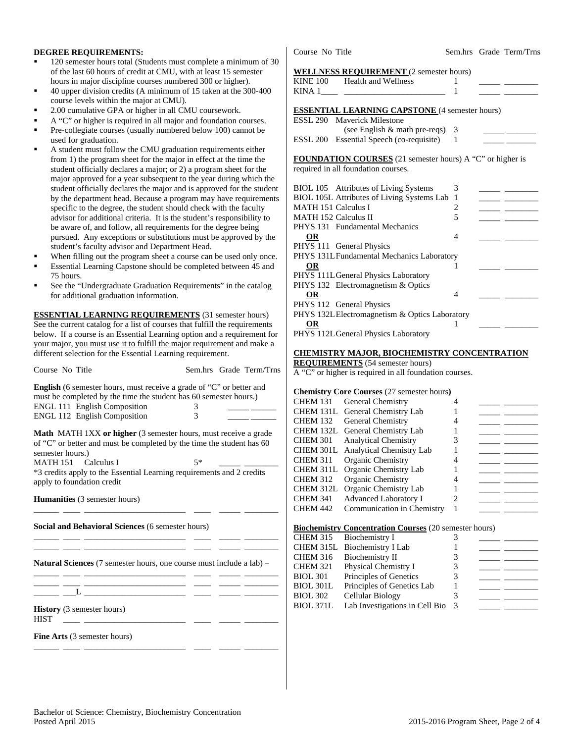### **DEGREE REQUIREMENTS:**

- 120 semester hours total (Students must complete a minimum of 30 of the last 60 hours of credit at CMU, with at least 15 semester hours in major discipline courses numbered 300 or higher).
- 40 upper division credits (A minimum of 15 taken at the 300-400 course levels within the major at CMU).
- 2.00 cumulative GPA or higher in all CMU coursework.
- A "C" or higher is required in all major and foundation courses.
- Pre-collegiate courses (usually numbered below 100) cannot be used for graduation.
- A student must follow the CMU graduation requirements either from 1) the program sheet for the major in effect at the time the student officially declares a major; or 2) a program sheet for the major approved for a year subsequent to the year during which the student officially declares the major and is approved for the student by the department head. Because a program may have requirements specific to the degree, the student should check with the faculty advisor for additional criteria. It is the student's responsibility to be aware of, and follow, all requirements for the degree being pursued. Any exceptions or substitutions must be approved by the student's faculty advisor and Department Head.
- When filling out the program sheet a course can be used only once.
- Essential Learning Capstone should be completed between 45 and 75 hours.
- See the "Undergraduate Graduation Requirements" in the catalog for additional graduation information.

**ESSENTIAL LEARNING REQUIREMENTS** (31 semester hours) See the current catalog for a list of courses that fulfill the requirements below. If a course is an Essential Learning option and a requirement for your major, you must use it to fulfill the major requirement and make a different selection for the Essential Learning requirement.

| Course No Title                                                             |  | Sem.hrs Grade Term/Trns |
|-----------------------------------------------------------------------------|--|-------------------------|
| <b>English</b> (6 semester hours, must receive a grade of "C" or better and |  |                         |

| must be completed by the time the student has 60 semester hours.) |  |
|-------------------------------------------------------------------|--|
| <b>ENGL 111 English Composition</b>                               |  |
| <b>ENGL 112 English Composition</b>                               |  |

**Math** MATH 1XX **or higher** (3 semester hours, must receive a grade of "C" or better and must be completed by the time the student has 60 semester hours.)

MATH 151 Calculus I  $5^*$ \*3 credits apply to the Essential Learning requirements and 2 credits apply to foundation credit

\_\_\_\_\_\_ \_\_\_\_ \_\_\_\_\_\_\_\_\_\_\_\_\_\_\_\_\_\_\_\_\_\_\_\_ \_\_\_\_ \_\_\_\_\_ \_\_\_\_\_\_\_\_

\_\_\_\_\_\_ \_\_\_\_ \_\_\_\_\_\_\_\_\_\_\_\_\_\_\_\_\_\_\_\_\_\_\_\_ \_\_\_\_ \_\_\_\_\_ \_\_\_\_\_\_\_\_ \_\_\_\_\_\_ \_\_\_\_ \_\_\_\_\_\_\_\_\_\_\_\_\_\_\_\_\_\_\_\_\_\_\_\_ \_\_\_\_ \_\_\_\_\_ \_\_\_\_\_\_\_\_

\_\_\_\_\_\_ \_\_\_\_ \_\_\_\_\_\_\_\_\_\_\_\_\_\_\_\_\_\_\_\_\_\_\_\_ \_\_\_\_ \_\_\_\_\_ \_\_\_\_\_\_\_\_

\_\_\_\_\_\_ \_\_\_\_ \_\_\_\_\_\_\_\_\_\_\_\_\_\_\_\_\_\_\_\_\_\_\_\_ \_\_\_\_ \_\_\_\_\_ \_\_\_\_\_\_\_\_

**Humanities** (3 semester hours)

**Social and Behavioral Sciences** (6 semester hours)

**Natural Sciences** (7 semester hours, one course must include a lab) – \_\_\_\_\_\_ \_\_\_\_ \_\_\_\_\_\_\_\_\_\_\_\_\_\_\_\_\_\_\_\_\_\_\_\_ \_\_\_\_ \_\_\_\_\_ \_\_\_\_\_\_\_\_

 $\frac{1}{2}$   $\frac{1}{2}$   $\frac{1}{2}$   $\frac{1}{2}$   $\frac{1}{2}$   $\frac{1}{2}$   $\frac{1}{2}$   $\frac{1}{2}$   $\frac{1}{2}$   $\frac{1}{2}$   $\frac{1}{2}$   $\frac{1}{2}$   $\frac{1}{2}$   $\frac{1}{2}$   $\frac{1}{2}$   $\frac{1}{2}$   $\frac{1}{2}$   $\frac{1}{2}$   $\frac{1}{2}$   $\frac{1}{2}$   $\frac{1}{2}$   $\frac{1}{2}$ 

**History** (3 semester hours)  $HIST$  \_\_\_\_\_ \_\_\_

**Fine Arts** (3 semester hours)

Course No Title Sem.hrs Grade Term/Trns

#### **WELLNESS REQUIREMENT** (2 semester hours)

|                     | WELLNESS REQUIREMENT (2 semester hours)                   |    |  |
|---------------------|-----------------------------------------------------------|----|--|
|                     | KINE 100 Health and Wellness                              |    |  |
|                     | KINA 1 $\qquad$                                           |    |  |
|                     |                                                           |    |  |
|                     | <b>ESSENTIAL LEARNING CAPSTONE</b> (4 semester hours)     |    |  |
|                     | <b>ESSL 290 Maverick Milestone</b>                        |    |  |
|                     | (see English $\&$ math pre-reqs) 3                        |    |  |
|                     | ESSL 200 Essential Speech (co-requisite) 1                |    |  |
|                     |                                                           |    |  |
|                     | FOUNDATION COURSES (21 semester hours) A "C" or higher is |    |  |
|                     | required in all foundation courses.                       |    |  |
|                     |                                                           |    |  |
|                     | BIOL 105 Attributes of Living Systems                     | -3 |  |
|                     | BIOL 105L Attributes of Living Systems Lab 1              |    |  |
| MATH 151 Calculus I |                                                           | 2  |  |
|                     | MATH 152 Calculus II                                      | 5  |  |
|                     | PHYS 131 Fundamental Mechanics                            |    |  |
| <b>OR</b>           |                                                           | 4  |  |
|                     | PHYS 111 General Physics                                  |    |  |
|                     | PHYS 131L Fundamental Mechanics Laboratory                |    |  |
| <b>OR</b>           |                                                           |    |  |

| PHYS 111L General Physics Laboratory           |  |  |
|------------------------------------------------|--|--|
| PHYS 132 Electromagnetism & Optics             |  |  |
| OR                                             |  |  |
| PHYS 112 General Physics                       |  |  |
| PHYS 132L Electromagnetism & Optics Laboratory |  |  |
| OR                                             |  |  |

PHYS 112L General Physics Laboratory

### **CHEMISTRY MAJOR, BIOCHEMISTRY CONCENTRATION**

**REQUIREMENTS** (54 semester hours)

A "C" or higher is required in all foundation courses.

#### **Chemistry Core Courses** (27 semester hours**)**

| <b>CHEM 131</b> | General Chemistry                                             |   |  |
|-----------------|---------------------------------------------------------------|---|--|
| CHEM 131L       | General Chemistry Lab                                         |   |  |
| <b>CHEM 132</b> | General Chemistry                                             |   |  |
| CHEM 132L       | General Chemistry Lab                                         |   |  |
| <b>CHEM 301</b> | <b>Analytical Chemistry</b>                                   |   |  |
| CHEM 301L       | <b>Analytical Chemistry Lab</b>                               |   |  |
| <b>CHEM 311</b> | Organic Chemistry                                             |   |  |
| CHEM 311L       | Organic Chemistry Lab                                         |   |  |
| <b>CHEM 312</b> | Organic Chemistry                                             |   |  |
| CHEM 312L       | Organic Chemistry Lab                                         |   |  |
| <b>CHEM 341</b> | <b>Advanced Laboratory I</b>                                  | 2 |  |
| <b>CHEM 442</b> | Communication in Chemistry                                    |   |  |
|                 | <b>Riochamistry Concentration Courses (20 semester bours)</b> |   |  |

#### **Biochemistry Concentration Courses** (20 semester hours)

|                  | CHEM 315 Biochemistry I        |               |  |
|------------------|--------------------------------|---------------|--|
|                  | CHEM 315L Biochemistry I Lab   |               |  |
| <b>CHEM 316</b>  | Biochemistry II                |               |  |
| <b>CHEM 321</b>  | Physical Chemistry I           |               |  |
| <b>BIOL 301</b>  | Principles of Genetics         |               |  |
| <b>BIOL 301L</b> | Principles of Genetics Lab     |               |  |
| <b>BIOL 302</b>  | Cellular Biology               |               |  |
| <b>BIOL 371L</b> | Lab Investigations in Cell Bio | $\mathcal{R}$ |  |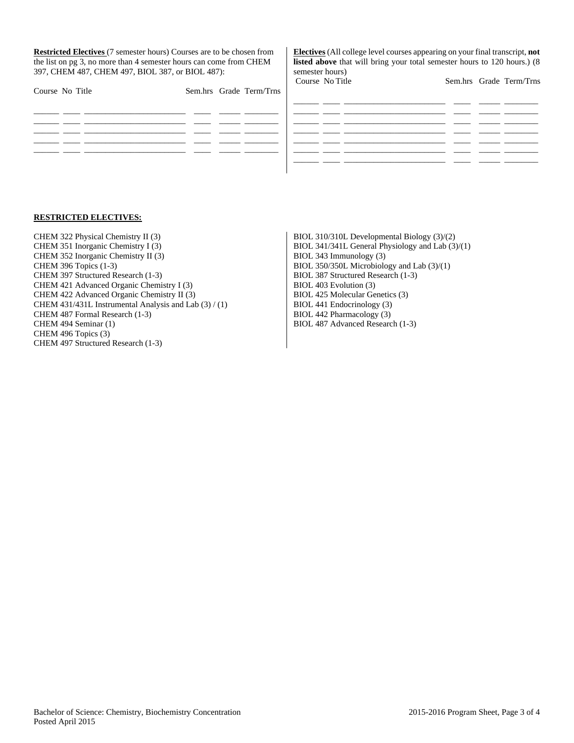**Restricted Electives** (7 semester hours) Courses are to be chosen from the list on pg 3, no more than 4 semester hours can come from CHEM 397, CHEM 487, CHEM 497, BIOL 387, or BIOL 487):

**Electives** (All college level courses appearing on your final transcript, **not listed above** that will bring your total semester hours to 120 hours.) (8 semester hours)<br>Course, No Title Sem hrs Grade Term/Trns

| Course No Title |  |  | Sem.hrs Grade Term/Trns | Course two little |  |  |
|-----------------|--|--|-------------------------|-------------------|--|--|
|                 |  |  |                         |                   |  |  |
|                 |  |  |                         |                   |  |  |
|                 |  |  |                         |                   |  |  |
|                 |  |  |                         |                   |  |  |
|                 |  |  |                         |                   |  |  |
|                 |  |  |                         |                   |  |  |

#### **RESTRICTED ELECTIVES:**

- CHEM 322 Physical Chemistry II (3) CHEM 351 Inorganic Chemistry I (3) CHEM 352 Inorganic Chemistry II (3) CHEM 396 Topics (1-3) CHEM 397 Structured Research (1-3) CHEM 421 Advanced Organic Chemistry I (3) CHEM 422 Advanced Organic Chemistry II (3) CHEM 431/431L Instrumental Analysis and Lab (3) / (1) CHEM 487 Formal Research (1-3) CHEM 494 Seminar (1) CHEM 496 Topics (3) CHEM 497 Structured Research (1-3)
- BIOL 310/310L Developmental Biology (3)/(2) BIOL 341/341L General Physiology and Lab (3)/(1) BIOL 343 Immunology (3) BIOL 350/350L Microbiology and Lab (3)/(1) BIOL 387 Structured Research (1-3) BIOL 403 Evolution (3) BIOL 425 Molecular Genetics (3) BIOL 441 Endocrinology (3) BIOL 442 Pharmacology (3) BIOL 487 Advanced Research (1-3)